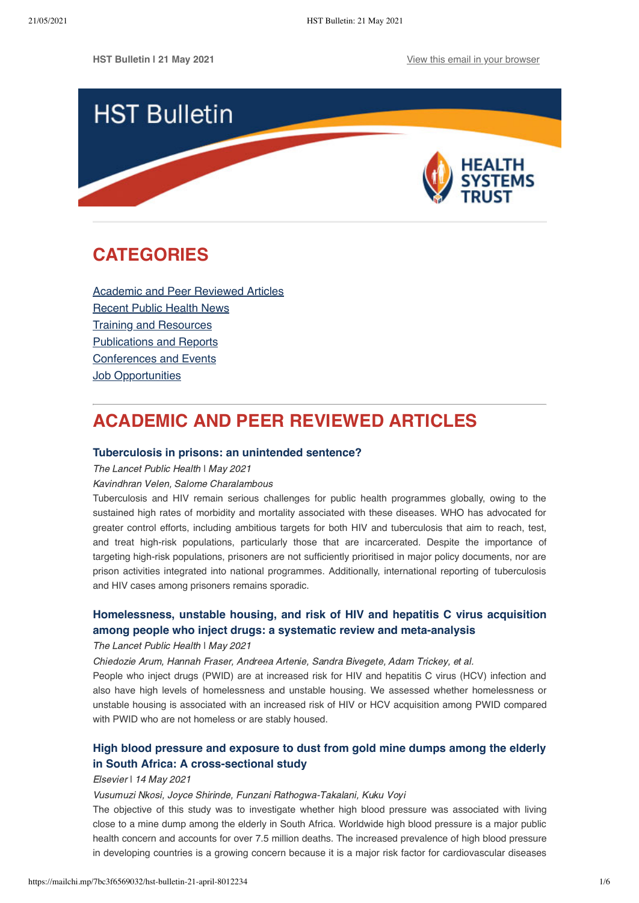

# <span id="page-0-1"></span>**CATEGORIES**

[Academic and Peer Reviewed Articles](#page-0-0) [Recent Public Health News](#page-1-0) Training and Resources [Publications and Reports](#page-3-0) [Conferences and Events](#page-4-0) **[Job Opportunities](#page-4-1)** 

# <span id="page-0-0"></span>**ACADEMIC AND PEER REVIEWED ARTICLES**

## **[Tuberculosis in prisons: an unintended sentence?](https://www.thelancet.com/journals/lanpub/article/PIIS2468-2667(21)00049-9/fulltext)**

The Lancet Public Health I May 2021

Kavindhran Velen, Salome Charalambous

Tuberculosis and HIV remain serious challenges for public health programmes globally, owing to the sustained high rates of morbidity and mortality associated with these diseases. WHO has advocated for greater control efforts, including ambitious targets for both HIV and tuberculosis that aim to reach, test, and treat high-risk populations, particularly those that are incarcerated. Despite the importance of targeting high-risk populations, prisoners are not sufficiently prioritised in major policy documents, nor are prison activities integrated into national programmes. Additionally, international reporting of tuberculosis and HIV cases among prisoners remains sporadic.

# **Homelessness, unstable housing, and risk of HIV and hepatitis C virus acquisition [among people who inject drugs: a systematic review and meta-analysis](https://www.thelancet.com/journals/lanpub/article/PIIS2468-2667(21)00013-X/fulltext)**

## The Lancet Public Health I May 2021

Chiedozie Arum, Hannah Fraser, Andreea Artenie, Sandra Bivegete, Adam Trickey, et al.

People who inject drugs (PWID) are at increased risk for HIV and hepatitis C virus (HCV) infection and also have high levels of homelessness and unstable housing. We assessed whether homelessness or unstable housing is associated with an increased risk of HIV or HCV acquisition among PWID compared with PWID who are not homeless or are stably housed.

# **[High blood pressure and exposure to dust from gold mine dumps among the elderly](https://www.sciencedirect.com/science/article/pii/S2666535221000719) in South Africa: A cross-sectional study**

## Elsevier | 14 May 2021

## Vusumuzi Nkosi, Joyce Shirinde, Funzani Rathogwa-Takalani, Kuku Voyi

The objective of this study was to investigate whether high blood pressure was associated with living close to a mine dump among the elderly in South Africa. Worldwide high blood pressure is a major public health concern and accounts for over 7.5 million deaths. The increased prevalence of high blood pressure in developing countries is a growing concern because it is a major risk factor for cardiovascular diseases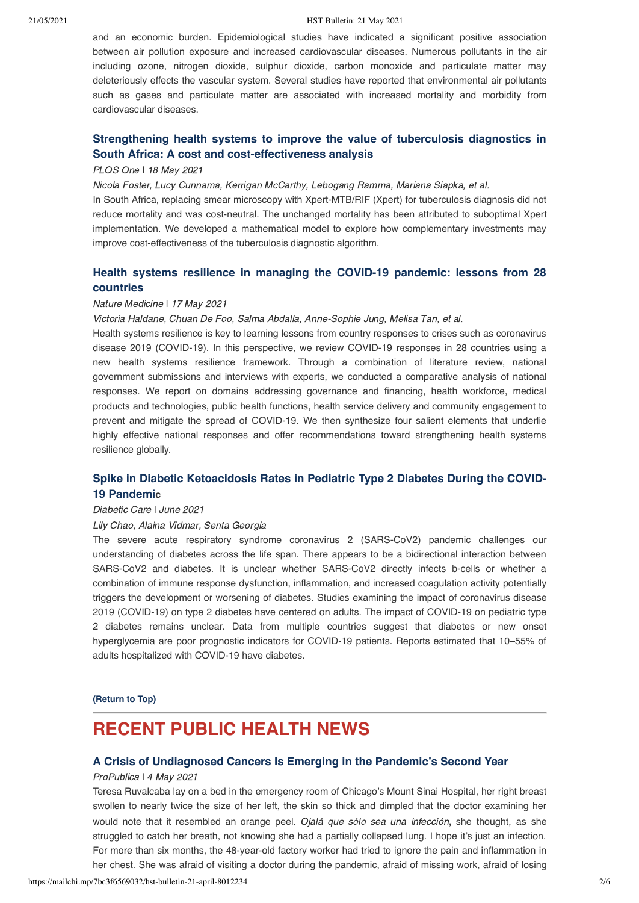#### 21/05/2021 HST Bulletin: 21 May 2021

and an economic burden. Epidemiological studies have indicated a significant positive association between air pollution exposure and increased cardiovascular diseases. Numerous pollutants in the air including ozone, nitrogen dioxide, sulphur dioxide, carbon monoxide and particulate matter may deleteriously effects the vascular system. Several studies have reported that environmental air pollutants such as gases and particulate matter are associated with increased mortality and morbidity from cardiovascular diseases.

## **[Strengthening health systems to improve the value of tuberculosis diagnostics in](https://journals.plos.org/plosone/article?id=10.1371/journal.pone.0251547) South Africa: A cost and cost-effectiveness analysis**

### PLOS One ǀ 18 May 2021

Nicola Foster, Lucy Cunnama, Kerrigan McCarthy, Lebogang Ramma, Mariana Siapka, et al.

In South Africa, replacing smear microscopy with Xpert-MTB/RIF (Xpert) for tuberculosis diagnosis did not reduce mortality and was cost-neutral. The unchanged mortality has been attributed to suboptimal Xpert implementation. We developed a mathematical model to explore how complementary investments may improve cost-effectiveness of the tuberculosis diagnostic algorithm.

## **[Health systems resilience in managing the COVID-19 pandemic: lessons from 28](https://www.nature.com/articles/s41591-021-01381-y) countries**

#### Nature Medicine ǀ 17 May 2021

Victoria Haldane, Chuan De Foo, Salma Abdalla, Anne-Sophie Jung, Melisa Tan, et al.

Health systems resilience is key to learning lessons from country responses to crises such as coronavirus disease 2019 (COVID-19). In this perspective, we review COVID-19 responses in 28 countries using a new health systems resilience framework. Through a combination of literature review, national government submissions and interviews with experts, we conducted a comparative analysis of national responses. We report on domains addressing governance and financing, health workforce, medical products and technologies, public health functions, health service delivery and community engagement to prevent and mitigate the spread of COVID-19. We then synthesize four salient elements that underlie highly effective national responses and offer recommendations toward strengthening health systems resilience globally.

## **[Spike in Diabetic Ketoacidosis Rates in Pediatric Type 2 Diabetes During the COVID-](https://care.diabetesjournals.org/content/diacare/early/2021/04/21/dc20-2733.full.pdf)19 Pandemic**

### Diabetic Care ǀ June 2021

#### Lily Chao, Alaina Vidmar, Senta Georgia

The severe acute respiratory syndrome coronavirus 2 (SARS-CoV2) pandemic challenges our understanding of diabetes across the life span. There appears to be a bidirectional interaction between SARS-CoV2 and diabetes. It is unclear whether SARS-CoV2 directly infects b-cells or whether a combination of immune response dysfunction, inflammation, and increased coagulation activity potentially triggers the development or worsening of diabetes. Studies examining the impact of coronavirus disease 2019 (COVID-19) on type 2 diabetes have centered on adults. The impact of COVID-19 on pediatric type 2 diabetes remains unclear. Data from multiple countries suggest that diabetes or new onset hyperglycemia are poor prognostic indicators for COVID-19 patients. Reports estimated that 10–55% of adults hospitalized with COVID-19 have diabetes.

**[\(Return to Top\)](#page-0-1)**

# <span id="page-1-0"></span>**RECENT PUBLIC HEALTH NEWS**

## **[A Crisis of Undiagnosed Cancers Is Emerging in the Pandemic's Second Year](https://www.propublica.org/article/a-crisis-of-undiagnosed-cancers-is-emerging-in-the-pandemics-second-year?)**

#### ProPublica | 4 May 2021

Teresa Ruvalcaba lay on a bed in the emergency room of Chicago's Mount Sinai Hospital, her right breast swollen to nearly twice the size of her left, the skin so thick and dimpled that the doctor examining her would note that it resembled an orange peel. Ojalá que sólo sea una infección**,** she thought, as she struggled to catch her breath, not knowing she had a partially collapsed lung. I hope it's just an infection. For more than six months, the 48-year-old factory worker had tried to ignore the pain and inflammation in her chest. She was afraid of visiting a doctor during the pandemic, afraid of missing work, afraid of losing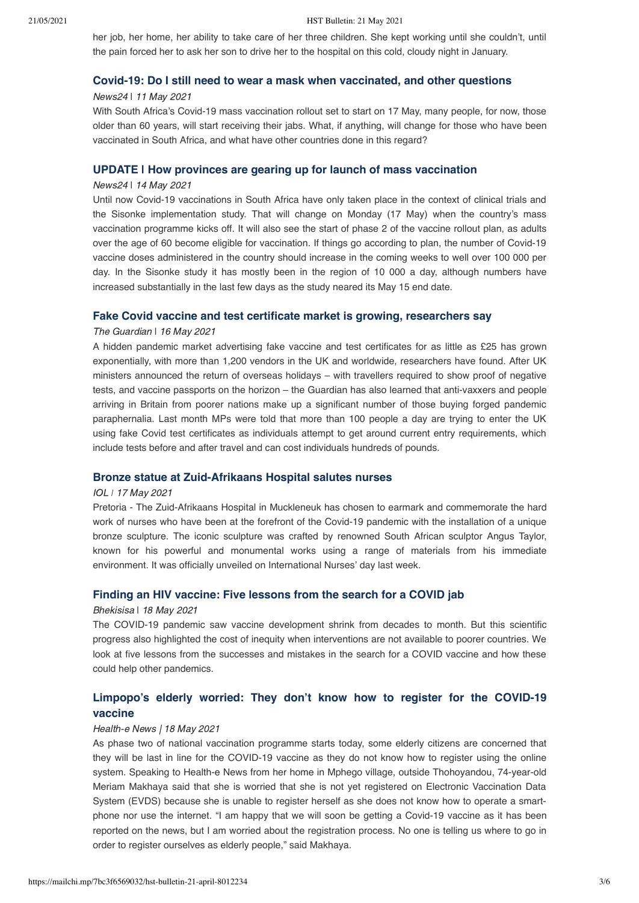her job, her home, her ability to take care of her three children. She kept working until she couldn't, until the pain forced her to ask her son to drive her to the hospital on this cold, cloudy night in January.

#### **[Covid-19: Do I still need to wear a mask when vaccinated, and other questions](https://www.news24.com/health24/medical/infectious-diseases/coronavirus/covid-do-i-still-need-to-wear-a-mask-when-vaccinated-and-other-questions-20210511)**

#### News24 | 11 May 2021

With South Africa's Covid-19 mass vaccination rollout set to start on 17 May, many people, for now, those older than 60 years, will start receiving their jabs. What, if anything, will change for those who have been vaccinated in South Africa, and what have other countries done in this regard?

## **[UPDATE | How provinces are gearing up for launch of mass vaccination](https://www.news24.com/health24/medical/infectious-diseases/coronavirus/update-how-provinces-are-gearing-up-for-launch-of-mass-vaccination-20210514)**

#### News24 | 14 May 2021

Until now Covid-19 vaccinations in South Africa have only taken place in the context of clinical trials and the Sisonke implementation study. That will change on Monday (17 May) when the country's mass vaccination programme kicks off. It will also see the start of phase 2 of the vaccine rollout plan, as adults over the age of 60 become eligible for vaccination. If things go according to plan, the number of Covid-19 vaccine doses administered in the country should increase in the coming weeks to well over 100 000 per day. In the Sisonke study it has mostly been in the region of 10 000 a day, although numbers have increased substantially in the last few days as the study neared its May 15 end date.

#### **[Fake Covid vaccine and test certificate market is growing, researchers say](https://www.theguardian.com/world/2021/may/16/fake-covid-vaccine-and-test-certificate-market-is-growing-researchers-say)**

### The Guardian | 16 May 2021

A hidden pandemic market advertising fake vaccine and test certificates for as little as £25 has grown exponentially, with more than 1,200 vendors in the UK and worldwide, researchers have found. After UK ministers announced the return of overseas holidays – with travellers required to show proof of negative tests, and vaccine passports on the horizon – the Guardian has also learned that anti-vaxxers and people arriving in Britain from poorer nations make up a significant number of those buying forged pandemic paraphernalia. Last month MPs were told that more than 100 people a day are trying to enter the UK using fake Covid test certificates as individuals attempt to get around current entry requirements, which include tests before and after travel and can cost individuals hundreds of pounds.

#### **[Bronze statue at Zuid-Afrikaans Hospital salutes nurses](https://www.iol.co.za/pretoria-news/news/bronze-statue-at-zuid-afrikaans-hospital-salutes-nurses-a4d971e4-85eb-475b-ba87-87e614ef766a)**

#### IOL *ǀ* 17 May 2021

Pretoria - The Zuid-Afrikaans Hospital in Muckleneuk has chosen to earmark and commemorate the hard work of nurses who have been at the forefront of the Covid-19 pandemic with the installation of a unique bronze sculpture. The iconic sculpture was crafted by renowned South African sculptor Angus Taylor, known for his powerful and monumental works using a range of materials from his immediate environment. It was officially unveiled on International Nurses' day last week.

## **[Finding an HIV vaccine: Five lessons from the search for a COVID jab](https://bhekisisa.org/article/2021-05-18-finding-an-hiv-vaccine-five-lessons-from-the-search-for-a-covid-jab/?utm_source=Bhekisisa+in+your+inbox&utm_campaign=c94c9cff58-Bhekisisa_Newsletter_18May2021&utm_medium=email&utm_term=0_cd2e6e958b-c94c9cff58-368466285&mc_cid=c94c9cff58&mc_eid=dd0c0f96b6)**

#### Bhekisisa | 18 May 2021

The COVID-19 pandemic saw vaccine development shrink from decades to month. But this scientific progress also highlighted the cost of inequity when interventions are not available to poorer countries. We look at five lessons from the successes and mistakes in the search for a COVID vaccine and how these could help other pandemics.

## **[Limpopo's elderly worried: They don't know how to register for the COVID-19](https://health-e.org.za/2021/05/17/limpopos-elderly-worried-they-dont-know-how-to-register-for-the-covid-19-vaccine/) vaccine**

#### Health-e News | 18 May 2021

As phase two of national vaccination programme starts today, some elderly citizens are concerned that they will be last in line for the COVID-19 vaccine as they do not know how to register using the online system. Speaking to Health-e News from her home in Mphego village, outside Thohoyandou, 74-year-old Meriam Makhaya said that she is worried that she is not yet registered on Electronic Vaccination Data System (EVDS) because she is unable to register herself as she does not know how to operate a smartphone nor use the internet. "I am happy that we will soon be getting a Covid-19 vaccine as it has been reported on the news, but I am worried about the registration process. No one is telling us where to go in order to register ourselves as elderly people," said Makhaya.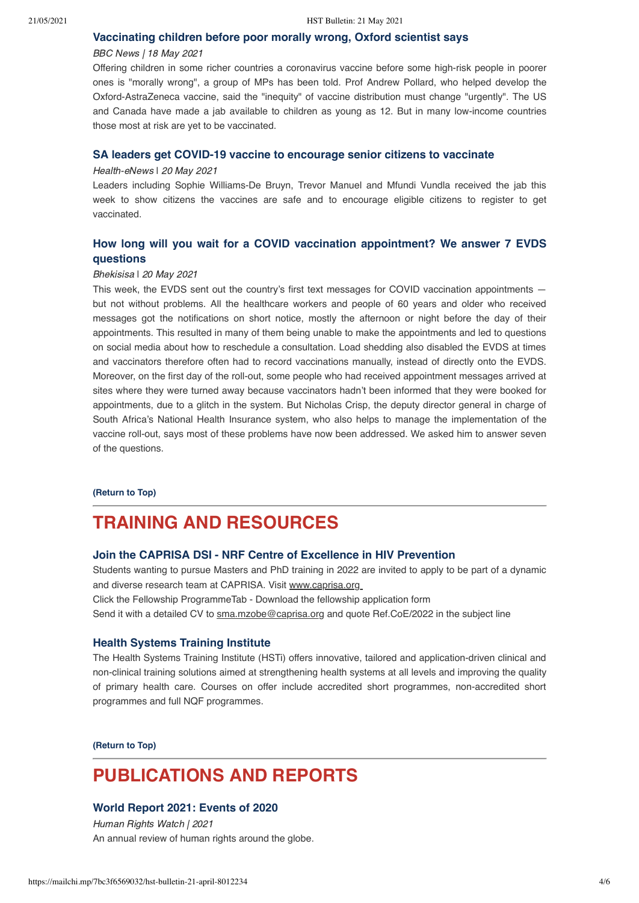### **[Vaccinating children before poor morally wrong, Oxford scientist says](https://www.bbc.com/news/health-57155943)**

#### BBC News | 18 May 2021

Offering children in some richer countries a coronavirus vaccine before some high-risk people in poorer ones is "morally wrong", a group of MPs has been told. Prof Andrew Pollard, who helped develop the Oxford-AstraZeneca vaccine, said the "inequity" of vaccine distribution must change "urgently". The US and Canada have made a jab available to children as young as 12. But in many low-income countries those most at risk are yet to be vaccinated.

## **[SA leaders get COVID-19 vaccine to encourage senior citizens to vaccinate](https://health-e.org.za/2021/05/20/sa-leaders-get-covid-19-vaccine-to-encourage-senior-citizens-to-vaccinate/)**

#### Health-eNews | 20 May 2021

Leaders including Sophie Williams-De Bruyn, Trevor Manuel and Mfundi Vundla received the jab this week to show citizens the vaccines are safe and to encourage eligible citizens to register to get vaccinated.

# **[How long will you wait for a COVID vaccination appointment? We answer 7](https://bhekisisa.org/article/2021-05-20-how-long-will-you-wait-for-a-covid-vaccination-appointment-we-answer-your-evds-questions/?utm_source=Bhekisisa+in+your+inbox&utm_campaign=9aeb6a3619-Bhekisisa_Newsletter_20May2021&utm_medium=email&utm_term=0_cd2e6e958b-9aeb6a3619-139508393&mc_cid=9aeb6a3619&mc_eid=0f3cb9077c) EVDS questions**

### Bhekisisa | 20 May 2021

This week, the EVDS sent out the country's first text messages for COVID vaccination appointments but not without problems. All the healthcare workers and people of 60 years and older who received messages got the notifications on short notice, mostly the afternoon or night before the day of their appointments. This resulted in many of them being unable to make the appointments and led to questions on social media about how to reschedule a consultation. Load shedding also disabled the EVDS at times and vaccinators therefore often had to record vaccinations manually, instead of directly onto the EVDS. Moreover, on the first day of the roll-out, some people who had received appointment messages arrived at sites where they were turned away because vaccinators hadn't been informed that they were booked for appointments, due to a glitch in the system. But Nicholas Crisp, the deputy director general in charge of South Africa's National Health Insurance system, who also helps to manage the implementation of the vaccine roll-out, says most of these problems have now been addressed. We asked him to answer seven of the questions.

#### **[\(Return to Top\)](#page-0-1)**

# <span id="page-3-0"></span>**TRAINING AND RESOURCES**

## **[Join the CAPRISA DSI - NRF Centre of Excellence in HIV Prevention](https://www.caprisa.org/NewsAndEvents/Read/10524)**

Students wanting to pursue Masters and PhD training in 2022 are invited to apply to be part of a dynamic and diverse research team at CAPRISA. Visit www.caprisa.org

Click the Fellowship ProgrammeTab - Download the fellowship application form Send it with a detailed CV to sma.mzobe@caprisa.org and quote Ref.CoE/2022 in the subject line

## **[Health Systems Training Institute](https://www.hstinstitute.co.za/Training)**

The Health Systems Training Institute (HSTi) offers innovative, tailored and application-driven clinical and non-clinical training solutions aimed at strengthening health systems at all levels and improving the quality of primary health care. Courses on offer include accredited short programmes, non-accredited short programmes and full NQF programmes.

**[\(Return to Top\)](#page-0-1)**

# **PUBLICATIONS AND REPORTS**

## **[World Report 2021: Events of 2020](https://www.hrw.org/sites/default/files/media_2021/01/2021_hrw_world_report.pdf)**

Human Rights Watch | 2021 An annual review of human rights around the globe.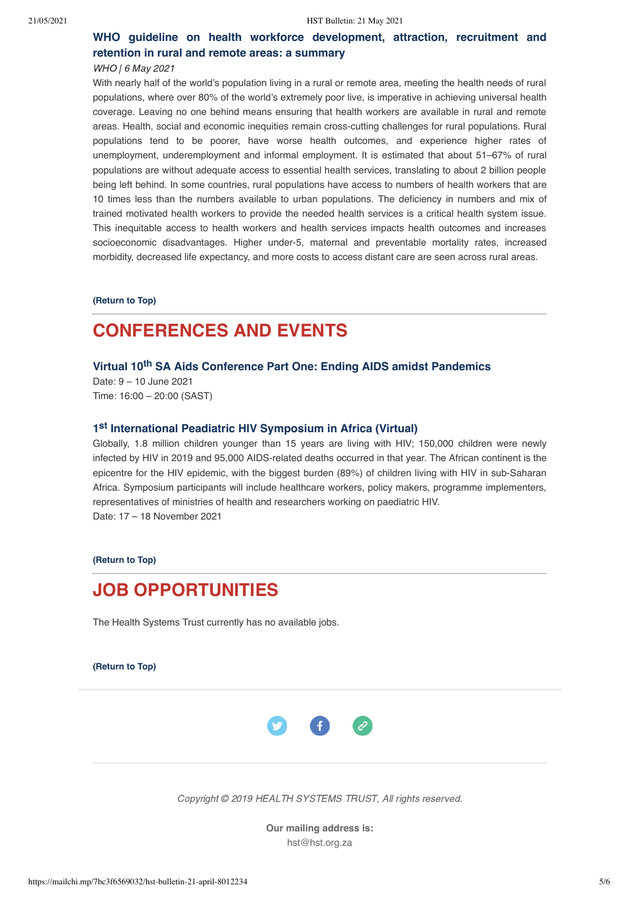# **[WHO guideline on health workforce development, attraction, recruitment and](https://www.who.int/publications/i/item/9789240025318) retention in rural and remote areas: a summary**

#### WHO | 6 May 2021

With nearly half of the world's population living in a rural or remote area, meeting the health needs of rural populations, where over 80% of the world's extremely poor live, is imperative in achieving universal health coverage. Leaving no one behind means ensuring that health workers are available in rural and remote areas. Health, social and economic inequities remain cross-cutting challenges for rural populations. Rural populations tend to be poorer, have worse health outcomes, and experience higher rates of unemployment, underemployment and informal employment. It is estimated that about 51–67% of rural populations are without adequate access to essential health services, translating to about 2 billion people being left behind. In some countries, rural populations have access to numbers of health workers that are 10 times less than the numbers available to urban populations. The deficiency in numbers and mix of trained motivated health workers to provide the needed health services is a critical health system issue. This inequitable access to health workers and health services impacts health outcomes and increases socioeconomic disadvantages. Higher under-5, maternal and preventable mortality rates, increased morbidity, decreased life expectancy, and more costs to access distant care are seen across rural areas.

**[\(Return to Top\)](#page-0-1)**

# <span id="page-4-0"></span>**CONFERENCES AND EVENTS**

## **Virtual 10th [SA Aids Conference Part One: Ending AIDS amidst Pandemics](https://foundation.eventsair.com/10th-sa-aids-conference-2021/registration/Site/Register)**

Date: 9 – 10 June 2021 Time: 16:00 – 20:00 (SAST)

# **1 st  [International Peadiatric HIV Symposium in Africa \(Virtual\)](https://iphasa.org/abstracts/)**

Globally, 1.8 million children younger than 15 years are living with HIV; 150,000 children were newly infected by HIV in 2019 and 95,000 AIDS-related deaths occurred in that year. The African continent is the epicentre for the HIV epidemic, with the biggest burden (89%) of children living with HIV in sub-Saharan Africa. Symposium participants will include healthcare workers, policy makers, programme implementers, representatives of ministries of health and researchers working on paediatric HIV. Date: 17 – 18 November 2021

**[\(Return to Top\)](#page-0-1)**

# <span id="page-4-1"></span>**JOB OPPORTUNITIES**

The Health Systems Trust currently has no available jobs.

**[\(Return to Top\)](#page-0-1)**



Copyright © 2019 HEALTH SYSTEMS TRUST, All rights reserved.

**Our mailing address is:** hst@hst.org.za